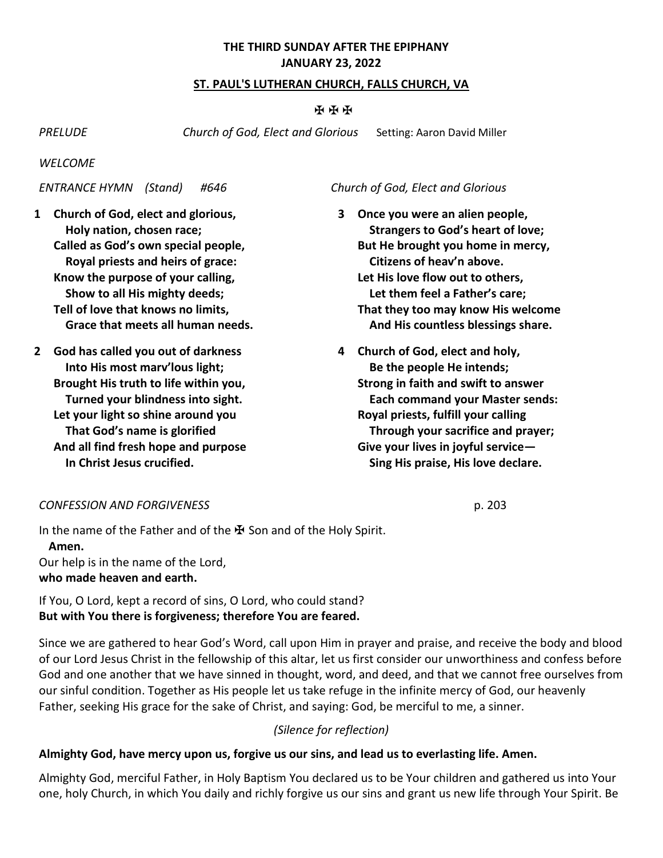# **THE THIRD SUNDAY AFTER THE EPIPHANY JANUARY 23, 2022**

## **ST. PAUL'S LUTHERAN CHURCH, FALLS CHURCH, VA**

## ✠ ✠ ✠

*PRELUDE Church of God, Elect and Glorious* Setting: Aaron David Miller

### *WELCOME*

## *ENTRANCE HYMN (Stand) #646 Church of God, Elect and Glorious*

- **1 Church of God, elect and glorious, Holy nation, chosen race; Called as God's own special people, Royal priests and heirs of grace: Know the purpose of your calling, Show to all His mighty deeds; Tell of love that knows no limits, Grace that meets all human needs.**
- **2 God has called you out of darkness Into His most marv'lous light; Brought His truth to life within you, Turned your blindness into sight. Let your light so shine around you That God's name is glorified And all find fresh hope and purpose In Christ Jesus crucified.**

- **3 Once you were an alien people, Strangers to God's heart of love; But He brought you home in mercy, Citizens of heav'n above. Let His love flow out to others, Let them feel a Father's care; That they too may know His welcome And His countless blessings share.**
- **4 Church of God, elect and holy, Be the people He intends; Strong in faith and swift to answer Each command your Master sends: Royal priests, fulfill your calling Through your sacrifice and prayer; Give your lives in joyful service— Sing His praise, His love declare.**

## **CONFESSION AND FORGIVENESS p. 203**

In the name of the Father and of the  $\mathbf{\Psi}$  Son and of the Holy Spirit.

**Amen.** Our help is in the name of the Lord, **who made heaven and earth.**

If You, O Lord, kept a record of sins, O Lord, who could stand? **But with You there is forgiveness; therefore You are feared.**

Since we are gathered to hear God's Word, call upon Him in prayer and praise, and receive the body and blood of our Lord Jesus Christ in the fellowship of this altar, let us first consider our unworthiness and confess before God and one another that we have sinned in thought, word, and deed, and that we cannot free ourselves from our sinful condition. Together as His people let us take refuge in the infinite mercy of God, our heavenly Father, seeking His grace for the sake of Christ, and saying: God, be merciful to me, a sinner.

## *(Silence for reflection)*

## **Almighty God, have mercy upon us, forgive us our sins, and lead us to everlasting life. Amen.**

Almighty God, merciful Father, in Holy Baptism You declared us to be Your children and gathered us into Your one, holy Church, in which You daily and richly forgive us our sins and grant us new life through Your Spirit. Be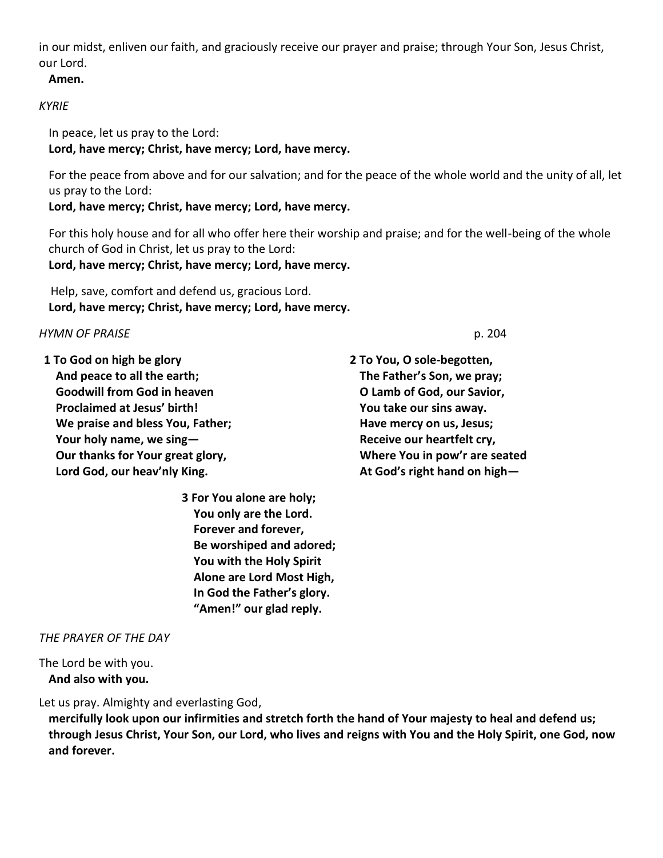in our midst, enliven our faith, and graciously receive our prayer and praise; through Your Son, Jesus Christ, our Lord.

## **Amen.**

## *KYRIE*

In peace, let us pray to the Lord:

# **Lord, have mercy; Christ, have mercy; Lord, have mercy.**

For the peace from above and for our salvation; and for the peace of the whole world and the unity of all, let us pray to the Lord:

# **Lord, have mercy; Christ, have mercy; Lord, have mercy.**

For this holy house and for all who offer here their worship and praise; and for the well-being of the whole church of God in Christ, let us pray to the Lord: **Lord, have mercy; Christ, have mercy; Lord, have mercy.**

Help, save, comfort and defend us, gracious Lord. **Lord, have mercy; Christ, have mercy; Lord, have mercy.**

# *HYMN OF PRAISE* p. 204

- **1 To God on high be glory And peace to all the earth; Goodwill from God in heaven Proclaimed at Jesus' birth! We praise and bless You, Father; Your holy name, we sing— Our thanks for Your great glory, Lord God, our heav'nly King.**
	- **3 For You alone are holy; You only are the Lord. Forever and forever, Be worshiped and adored; You with the Holy Spirit Alone are Lord Most High, In God the Father's glory. "Amen!" our glad reply.**

**2 To You, O sole-begotten, The Father's Son, we pray; O Lamb of God, our Savior, You take our sins away. Have mercy on us, Jesus; Receive our heartfelt cry, Where You in pow'r are seated At God's right hand on high—**

# *THE PRAYER OF THE DAY*

The Lord be with you. **And also with you.**

Let us pray. Almighty and everlasting God,

**mercifully look upon our infirmities and stretch forth the hand of Your majesty to heal and defend us; through Jesus Christ, Your Son, our Lord, who lives and reigns with You and the Holy Spirit, one God, now and forever.**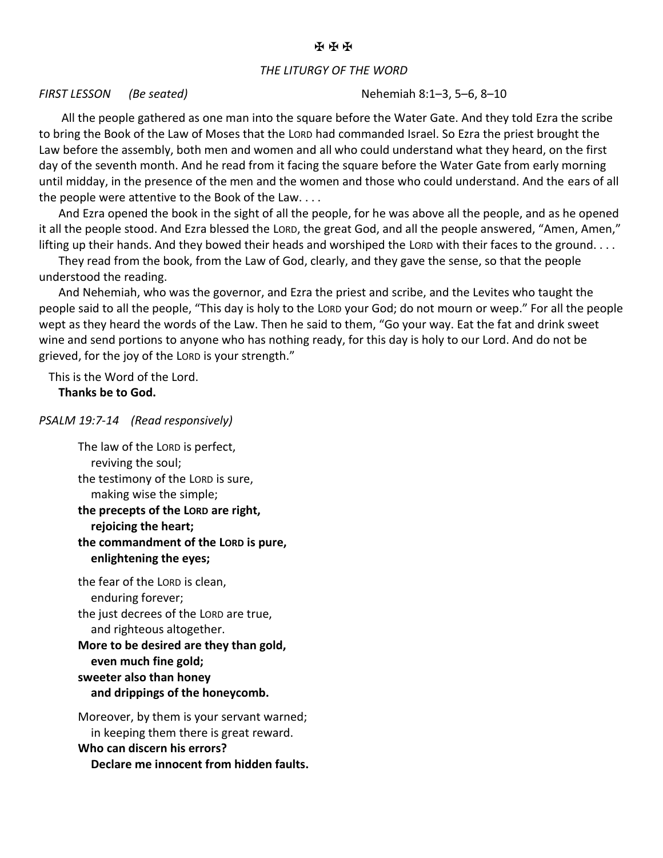## *THE LITURGY OF THE WORD*

### *FIRST LESSON (Be seated)* Nehemiah 8:1–3, 5–6, 8–10

All the people gathered as one man into the square before the Water Gate. And they told Ezra the scribe to bring the Book of the Law of Moses that the LORD had commanded Israel. So Ezra the priest brought the Law before the assembly, both men and women and all who could understand what they heard, on the first day of the seventh month. And he read from it facing the square before the Water Gate from early morning until midday, in the presence of the men and the women and those who could understand. And the ears of all the people were attentive to the Book of the Law. . . .

And Ezra opened the book in the sight of all the people, for he was above all the people, and as he opened it all the people stood. And Ezra blessed the LORD, the great God, and all the people answered, "Amen, Amen," lifting up their hands. And they bowed their heads and worshiped the LORD with their faces to the ground. . . .

They read from the book, from the Law of God, clearly, and they gave the sense, so that the people understood the reading.

And Nehemiah, who was the governor, and Ezra the priest and scribe, and the Levites who taught the people said to all the people, "This day is holy to the LORD your God; do not mourn or weep." For all the people wept as they heard the words of the Law. Then he said to them, "Go your way. Eat the fat and drink sweet wine and send portions to anyone who has nothing ready, for this day is holy to our Lord. And do not be grieved, for the joy of the LORD is your strength."

This is the Word of the Lord. **Thanks be to God.**

### *PSALM 19:7-14 (Read responsively)*

The law of the LORD is perfect, reviving the soul; the testimony of the LORD is sure, making wise the simple; **the precepts of the LORD are right, rejoicing the heart; the commandment of the LORD is pure, enlightening the eyes;**

the fear of the LORD is clean, enduring forever; the just decrees of the LORD are true, and righteous altogether. **More to be desired are they than gold, even much fine gold; sweeter also than honey**

## **and drippings of the honeycomb.**

Moreover, by them is your servant warned; in keeping them there is great reward. **Who can discern his errors? Declare me innocent from hidden faults.**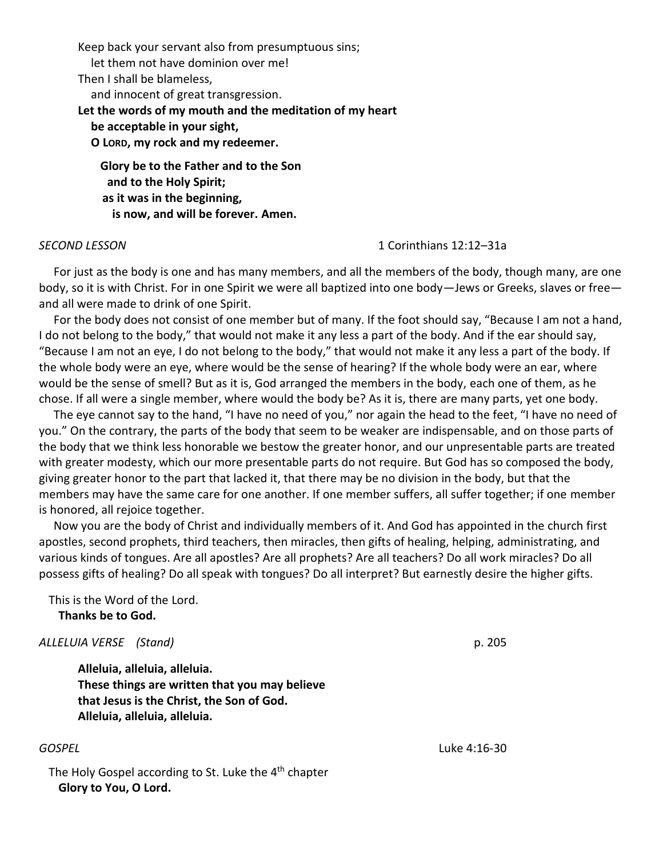Keep back your servant also from presumptuous sins; let them not have dominion over me! Then I shall be blameless, and innocent of great transgression. **Let the words of my mouth and the meditation of my heart be acceptable in your sight, O LORD, my rock and my redeemer. Glory be to the Father and to the Son and to the Holy Spirit; as it was in the beginning,**

**is now, and will be forever. Amen.**

### *SECOND LESSON* 1 Corinthians 12:12–31a

For just as the body is one and has many members, and all the members of the body, though many, are one body, so it is with Christ. For in one Spirit we were all baptized into one body—Jews or Greeks, slaves or free and all were made to drink of one Spirit.

For the body does not consist of one member but of many. If the foot should say, "Because I am not a hand, I do not belong to the body," that would not make it any less a part of the body. And if the ear should say, "Because I am not an eye, I do not belong to the body," that would not make it any less a part of the body. If the whole body were an eye, where would be the sense of hearing? If the whole body were an ear, where would be the sense of smell? But as it is, God arranged the members in the body, each one of them, as he chose. If all were a single member, where would the body be? As it is, there are many parts, yet one body.

The eye cannot say to the hand, "I have no need of you," nor again the head to the feet, "I have no need of you." On the contrary, the parts of the body that seem to be weaker are indispensable, and on those parts of the body that we think less honorable we bestow the greater honor, and our unpresentable parts are treated with greater modesty, which our more presentable parts do not require. But God has so composed the body, giving greater honor to the part that lacked it, that there may be no division in the body, but that the members may have the same care for one another. If one member suffers, all suffer together; if one member is honored, all rejoice together.

Now you are the body of Christ and individually members of it. And God has appointed in the church first apostles, second prophets, third teachers, then miracles, then gifts of healing, helping, administrating, and various kinds of tongues. Are all apostles? Are all prophets? Are all teachers? Do all work miracles? Do all possess gifts of healing? Do all speak with tongues? Do all interpret? But earnestly desire the higher gifts.

This is the Word of the Lord. **Thanks be to God.**

*ALLELUIA VERSE (Stand)* p. 205

**Alleluia, alleluia, alleluia. These things are written that you may believe that Jesus is the Christ, the Son of God. Alleluia, alleluia, alleluia.**

### *GOSPEL* Luke 4:16-30

The Holy Gospel according to St. Luke the 4<sup>th</sup> chapter **Glory to You, O Lord.**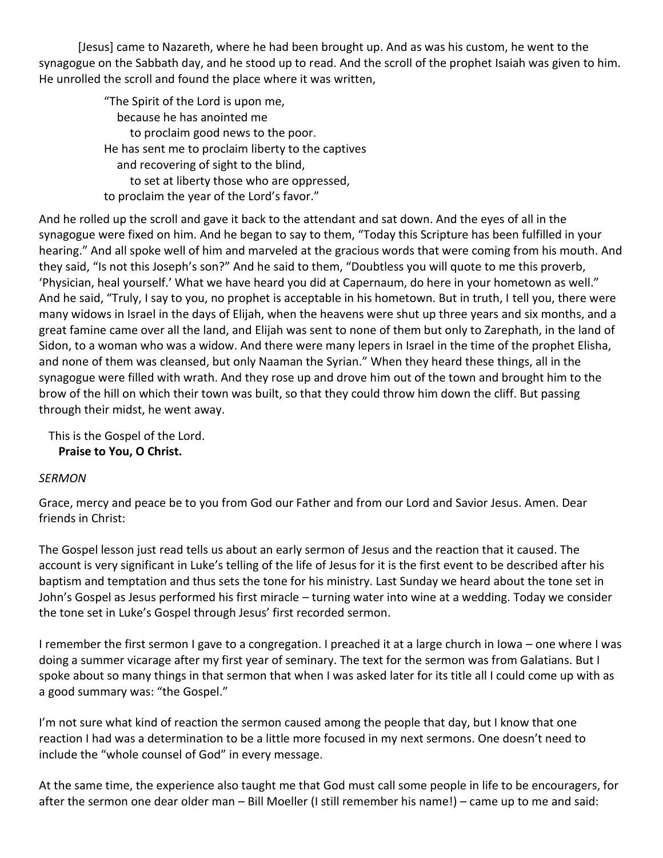[Jesus] came to Nazareth, where he had been brought up. And as was his custom, he went to the synagogue on the Sabbath day, and he stood up to read. And the scroll of the prophet Isaiah was given to him. He unrolled the scroll and found the place where it was written,

> "The Spirit of the Lord is upon me, because he has anointed me to proclaim good news to the poor. He has sent me to proclaim liberty to the captives and recovering of sight to the blind, to set at liberty those who are oppressed, to proclaim the year of the Lord's favor."

And he rolled up the scroll and gave it back to the attendant and sat down. And the eyes of all in the synagogue were fixed on him. And he began to say to them, "Today this Scripture has been fulfilled in your hearing." And all spoke well of him and marveled at the gracious words that were coming from his mouth. And they said, "Is not this Joseph's son?" And he said to them, "Doubtless you will quote to me this proverb, 'Physician, heal yourself.' What we have heard you did at Capernaum, do here in your hometown as well." And he said, "Truly, I say to you, no prophet is acceptable in his hometown. But in truth, I tell you, there were many widows in Israel in the days of Elijah, when the heavens were shut up three years and six months, and a great famine came over all the land, and Elijah was sent to none of them but only to Zarephath, in the land of Sidon, to a woman who was a widow. And there were many lepers in Israel in the time of the prophet Elisha, and none of them was cleansed, but only Naaman the Syrian." When they heard these things, all in the synagogue were filled with wrath. And they rose up and drove him out of the town and brought him to the brow of the hill on which their town was built, so that they could throw him down the cliff. But passing through their midst, he went away.

This is the Gospel of the Lord. **Praise to You, O Christ.**

## *SERMON*

Grace, mercy and peace be to you from God our Father and from our Lord and Savior Jesus. Amen. Dear friends in Christ:

The Gospel lesson just read tells us about an early sermon of Jesus and the reaction that it caused. The account is very significant in Luke's telling of the life of Jesus for it is the first event to be described after his baptism and temptation and thus sets the tone for his ministry. Last Sunday we heard about the tone set in John's Gospel as Jesus performed his first miracle – turning water into wine at a wedding. Today we consider the tone set in Luke's Gospel through Jesus' first recorded sermon.

I remember the first sermon I gave to a congregation. I preached it at a large church in Iowa – one where I was doing a summer vicarage after my first year of seminary. The text for the sermon was from Galatians. But I spoke about so many things in that sermon that when I was asked later for its title all I could come up with as a good summary was: "the Gospel."

I'm not sure what kind of reaction the sermon caused among the people that day, but I know that one reaction I had was a determination to be a little more focused in my next sermons. One doesn't need to include the "whole counsel of God" in every message.

At the same time, the experience also taught me that God must call some people in life to be encouragers, for after the sermon one dear older man – Bill Moeller (I still remember his name!) – came up to me and said: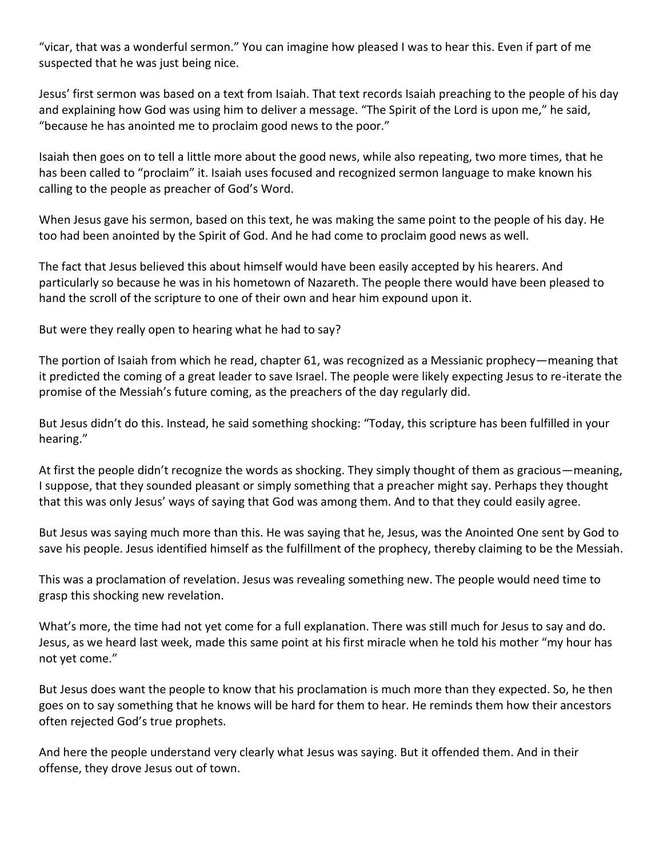"vicar, that was a wonderful sermon." You can imagine how pleased I was to hear this. Even if part of me suspected that he was just being nice.

Jesus' first sermon was based on a text from Isaiah. That text records Isaiah preaching to the people of his day and explaining how God was using him to deliver a message. "The Spirit of the Lord is upon me," he said, "because he has anointed me to proclaim good news to the poor."

Isaiah then goes on to tell a little more about the good news, while also repeating, two more times, that he has been called to "proclaim" it. Isaiah uses focused and recognized sermon language to make known his calling to the people as preacher of God's Word.

When Jesus gave his sermon, based on this text, he was making the same point to the people of his day. He too had been anointed by the Spirit of God. And he had come to proclaim good news as well.

The fact that Jesus believed this about himself would have been easily accepted by his hearers. And particularly so because he was in his hometown of Nazareth. The people there would have been pleased to hand the scroll of the scripture to one of their own and hear him expound upon it.

But were they really open to hearing what he had to say?

The portion of Isaiah from which he read, chapter 61, was recognized as a Messianic prophecy—meaning that it predicted the coming of a great leader to save Israel. The people were likely expecting Jesus to re-iterate the promise of the Messiah's future coming, as the preachers of the day regularly did.

But Jesus didn't do this. Instead, he said something shocking: "Today, this scripture has been fulfilled in your hearing."

At first the people didn't recognize the words as shocking. They simply thought of them as gracious—meaning, I suppose, that they sounded pleasant or simply something that a preacher might say. Perhaps they thought that this was only Jesus' ways of saying that God was among them. And to that they could easily agree.

But Jesus was saying much more than this. He was saying that he, Jesus, was the Anointed One sent by God to save his people. Jesus identified himself as the fulfillment of the prophecy, thereby claiming to be the Messiah.

This was a proclamation of revelation. Jesus was revealing something new. The people would need time to grasp this shocking new revelation.

What's more, the time had not yet come for a full explanation. There was still much for Jesus to say and do. Jesus, as we heard last week, made this same point at his first miracle when he told his mother "my hour has not yet come."

But Jesus does want the people to know that his proclamation is much more than they expected. So, he then goes on to say something that he knows will be hard for them to hear. He reminds them how their ancestors often rejected God's true prophets.

And here the people understand very clearly what Jesus was saying. But it offended them. And in their offense, they drove Jesus out of town.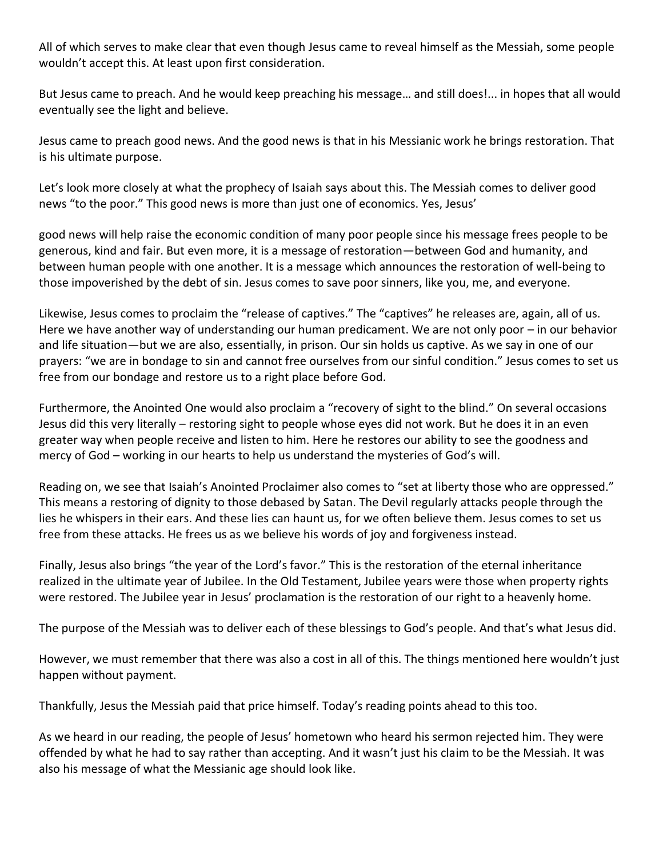All of which serves to make clear that even though Jesus came to reveal himself as the Messiah, some people wouldn't accept this. At least upon first consideration.

But Jesus came to preach. And he would keep preaching his message… and still does!... in hopes that all would eventually see the light and believe.

Jesus came to preach good news. And the good news is that in his Messianic work he brings restoration. That is his ultimate purpose.

Let's look more closely at what the prophecy of Isaiah says about this. The Messiah comes to deliver good news "to the poor." This good news is more than just one of economics. Yes, Jesus'

good news will help raise the economic condition of many poor people since his message frees people to be generous, kind and fair. But even more, it is a message of restoration—between God and humanity, and between human people with one another. It is a message which announces the restoration of well-being to those impoverished by the debt of sin. Jesus comes to save poor sinners, like you, me, and everyone.

Likewise, Jesus comes to proclaim the "release of captives." The "captives" he releases are, again, all of us. Here we have another way of understanding our human predicament. We are not only poor – in our behavior and life situation—but we are also, essentially, in prison. Our sin holds us captive. As we say in one of our prayers: "we are in bondage to sin and cannot free ourselves from our sinful condition." Jesus comes to set us free from our bondage and restore us to a right place before God.

Furthermore, the Anointed One would also proclaim a "recovery of sight to the blind." On several occasions Jesus did this very literally – restoring sight to people whose eyes did not work. But he does it in an even greater way when people receive and listen to him. Here he restores our ability to see the goodness and mercy of God – working in our hearts to help us understand the mysteries of God's will.

Reading on, we see that Isaiah's Anointed Proclaimer also comes to "set at liberty those who are oppressed." This means a restoring of dignity to those debased by Satan. The Devil regularly attacks people through the lies he whispers in their ears. And these lies can haunt us, for we often believe them. Jesus comes to set us free from these attacks. He frees us as we believe his words of joy and forgiveness instead.

Finally, Jesus also brings "the year of the Lord's favor." This is the restoration of the eternal inheritance realized in the ultimate year of Jubilee. In the Old Testament, Jubilee years were those when property rights were restored. The Jubilee year in Jesus' proclamation is the restoration of our right to a heavenly home.

The purpose of the Messiah was to deliver each of these blessings to God's people. And that's what Jesus did.

However, we must remember that there was also a cost in all of this. The things mentioned here wouldn't just happen without payment.

Thankfully, Jesus the Messiah paid that price himself. Today's reading points ahead to this too.

As we heard in our reading, the people of Jesus' hometown who heard his sermon rejected him. They were offended by what he had to say rather than accepting. And it wasn't just his claim to be the Messiah. It was also his message of what the Messianic age should look like.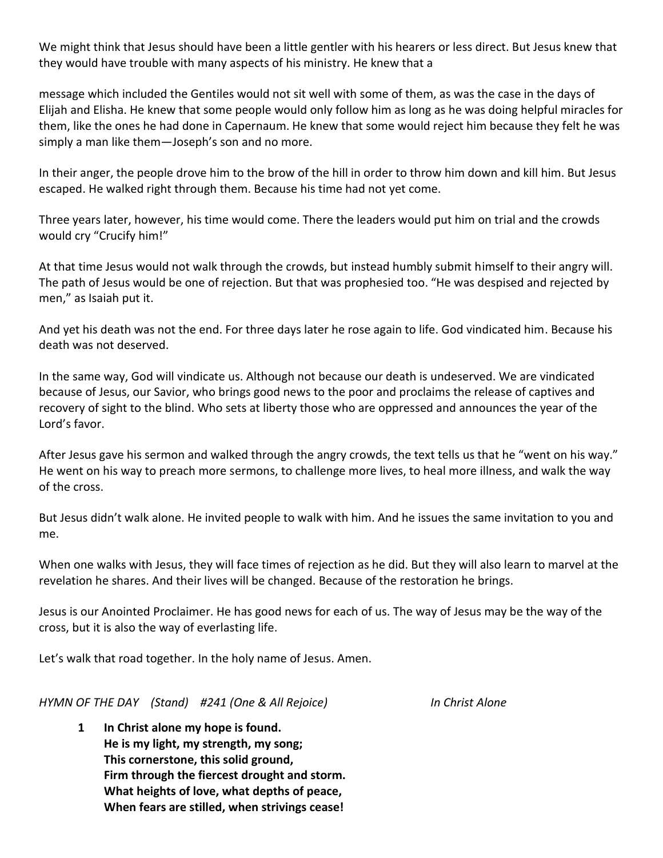We might think that Jesus should have been a little gentler with his hearers or less direct. But Jesus knew that they would have trouble with many aspects of his ministry. He knew that a

message which included the Gentiles would not sit well with some of them, as was the case in the days of Elijah and Elisha. He knew that some people would only follow him as long as he was doing helpful miracles for them, like the ones he had done in Capernaum. He knew that some would reject him because they felt he was simply a man like them—Joseph's son and no more.

In their anger, the people drove him to the brow of the hill in order to throw him down and kill him. But Jesus escaped. He walked right through them. Because his time had not yet come.

Three years later, however, his time would come. There the leaders would put him on trial and the crowds would cry "Crucify him!"

At that time Jesus would not walk through the crowds, but instead humbly submit himself to their angry will. The path of Jesus would be one of rejection. But that was prophesied too. "He was despised and rejected by men," as Isaiah put it.

And yet his death was not the end. For three days later he rose again to life. God vindicated him. Because his death was not deserved.

In the same way, God will vindicate us. Although not because our death is undeserved. We are vindicated because of Jesus, our Savior, who brings good news to the poor and proclaims the release of captives and recovery of sight to the blind. Who sets at liberty those who are oppressed and announces the year of the Lord's favor.

After Jesus gave his sermon and walked through the angry crowds, the text tells us that he "went on his way." He went on his way to preach more sermons, to challenge more lives, to heal more illness, and walk the way of the cross.

But Jesus didn't walk alone. He invited people to walk with him. And he issues the same invitation to you and me.

When one walks with Jesus, they will face times of rejection as he did. But they will also learn to marvel at the revelation he shares. And their lives will be changed. Because of the restoration he brings.

Jesus is our Anointed Proclaimer. He has good news for each of us. The way of Jesus may be the way of the cross, but it is also the way of everlasting life.

Let's walk that road together. In the holy name of Jesus. Amen.

*HYMN OF THE DAY (Stand) #241 (One & All Rejoice) In Christ Alone*

**1 In Christ alone my hope is found. He is my light, my strength, my song; This cornerstone, this solid ground, Firm through the fiercest drought and storm. What heights of love, what depths of peace, When fears are stilled, when strivings cease!**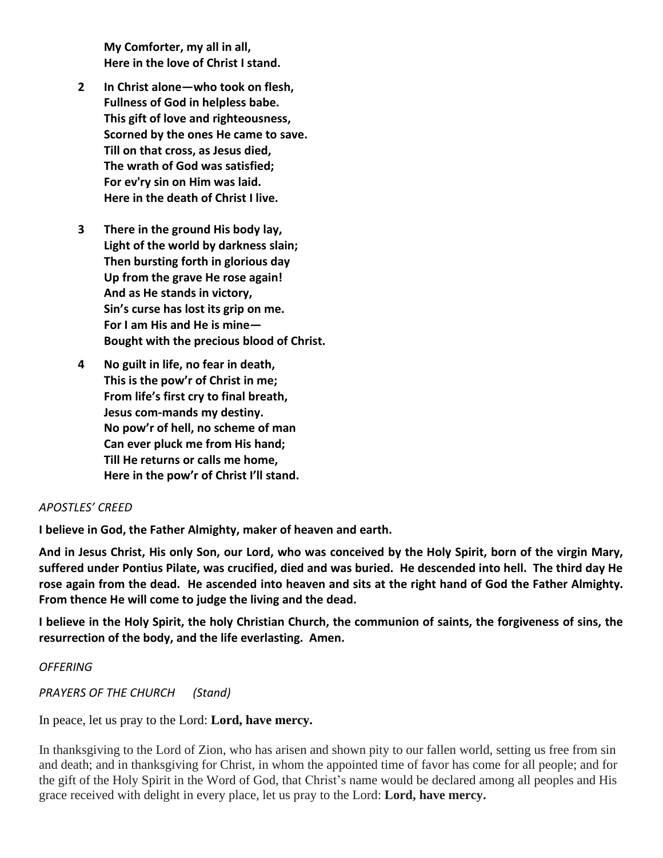**My Comforter, my all in all, Here in the love of Christ I stand.**

- **2 In Christ alone—who took on flesh, Fullness of God in helpless babe. This gift of love and righteousness, Scorned by the ones He came to save. Till on that cross, as Jesus died, The wrath of God was satisfied; For ev'ry sin on Him was laid. Here in the death of Christ I live.**
- **3 There in the ground His body lay, Light of the world by darkness slain; Then bursting forth in glorious day Up from the grave He rose again! And as He stands in victory, Sin's curse has lost its grip on me. For I am His and He is mine— Bought with the precious blood of Christ.**
- **4 No guilt in life, no fear in death, This is the pow'r of Christ in me; From life's first cry to final breath, Jesus com-mands my destiny. No pow'r of hell, no scheme of man Can ever pluck me from His hand; Till He returns or calls me home, Here in the pow'r of Christ I'll stand.**

## *APOSTLES' CREED*

**I believe in God, the Father Almighty, maker of heaven and earth.**

**And in Jesus Christ, His only Son, our Lord, who was conceived by the Holy Spirit, born of the virgin Mary, suffered under Pontius Pilate, was crucified, died and was buried. He descended into hell. The third day He rose again from the dead. He ascended into heaven and sits at the right hand of God the Father Almighty. From thence He will come to judge the living and the dead.**

**I believe in the Holy Spirit, the holy Christian Church, the communion of saints, the forgiveness of sins, the resurrection of the body, and the life everlasting. Amen.**

## *OFFERING*

*PRAYERS OF THE CHURCH (Stand)*

In peace, let us pray to the Lord: **Lord, have mercy.**

In thanksgiving to the Lord of Zion, who has arisen and shown pity to our fallen world, setting us free from sin and death; and in thanksgiving for Christ, in whom the appointed time of favor has come for all people; and for the gift of the Holy Spirit in the Word of God, that Christ's name would be declared among all peoples and His grace received with delight in every place, let us pray to the Lord: **Lord, have mercy.**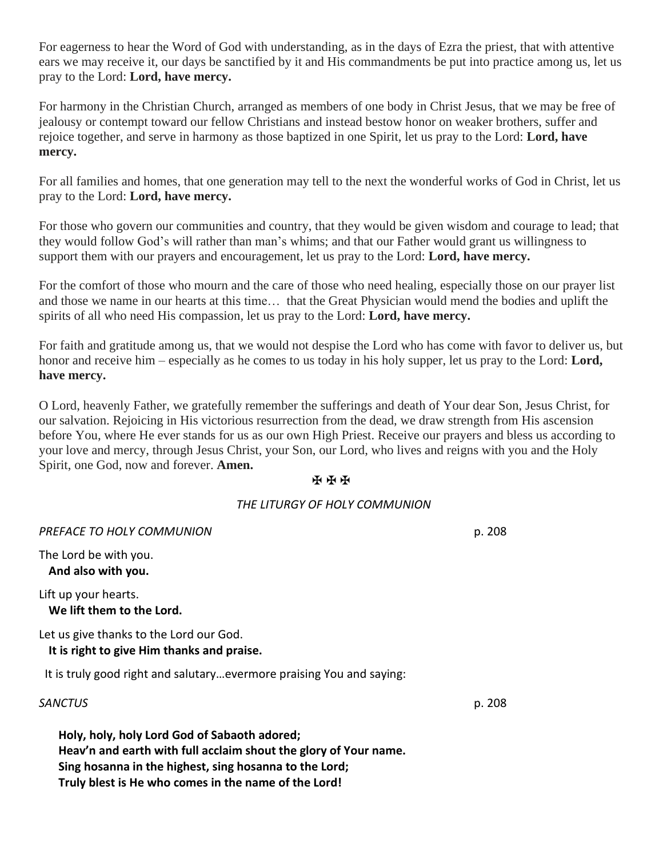For eagerness to hear the Word of God with understanding, as in the days of Ezra the priest, that with attentive ears we may receive it, our days be sanctified by it and His commandments be put into practice among us, let us pray to the Lord: **Lord, have mercy.**

For harmony in the Christian Church, arranged as members of one body in Christ Jesus, that we may be free of jealousy or contempt toward our fellow Christians and instead bestow honor on weaker brothers, suffer and rejoice together, and serve in harmony as those baptized in one Spirit, let us pray to the Lord: **Lord, have mercy.**

For all families and homes, that one generation may tell to the next the wonderful works of God in Christ, let us pray to the Lord: **Lord, have mercy.**

For those who govern our communities and country, that they would be given wisdom and courage to lead; that they would follow God's will rather than man's whims; and that our Father would grant us willingness to support them with our prayers and encouragement, let us pray to the Lord: **Lord, have mercy.**

For the comfort of those who mourn and the care of those who need healing, especially those on our prayer list and those we name in our hearts at this time… that the Great Physician would mend the bodies and uplift the spirits of all who need His compassion*,* let us pray to the Lord: **Lord, have mercy.**

For faith and gratitude among us, that we would not despise the Lord who has come with favor to deliver us, but honor and receive him – especially as he comes to us today in his holy supper, let us pray to the Lord: **Lord, have mercy.**

O Lord, heavenly Father, we gratefully remember the sufferings and death of Your dear Son, Jesus Christ, for our salvation. Rejoicing in His victorious resurrection from the dead, we draw strength from His ascension before You, where He ever stands for us as our own High Priest. Receive our prayers and bless us according to your love and mercy, through Jesus Christ, your Son, our Lord, who lives and reigns with you and the Holy Spirit, one God, now and forever. **Amen.**

## ✠ ✠ ✠

## *THE LITURGY OF HOLY COMMUNION*

*PREFACE TO HOLY COMMUNION* p. 208

The Lord be with you. **And also with you.**

Lift up your hearts. **We lift them to the Lord.**

Let us give thanks to the Lord our God. **It is right to give Him thanks and praise.**

It is truly good right and salutary…evermore praising You and saying:

## *SANCTUS* p. 208

**Holy, holy, holy Lord God of Sabaoth adored; Heav'n and earth with full acclaim shout the glory of Your name. Sing hosanna in the highest, sing hosanna to the Lord; Truly blest is He who comes in the name of the Lord!**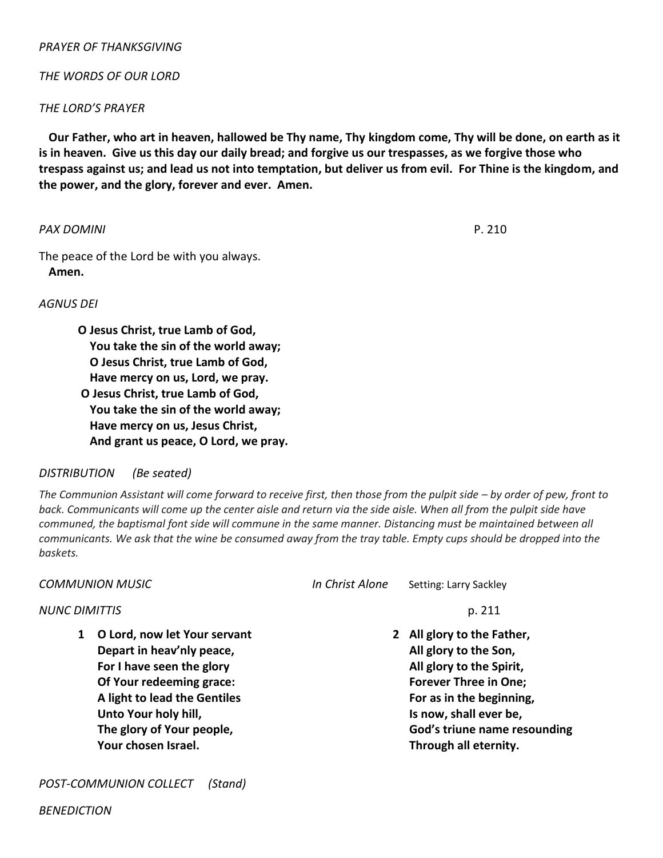## *PRAYER OF THANKSGIVING*

## *THE WORDS OF OUR LORD*

### *THE LORD'S PRAYER*

**Our Father, who art in heaven, hallowed be Thy name, Thy kingdom come, Thy will be done, on earth as it is in heaven. Give us this day our daily bread; and forgive us our trespasses, as we forgive those who trespass against us; and lead us not into temptation, but deliver us from evil. For Thine is the kingdom, and the power, and the glory, forever and ever. Amen.**

### **PAX DOMINI** P. 210

The peace of the Lord be with you always. **Amen.**

## *AGNUS DEI*

**O Jesus Christ, true Lamb of God, You take the sin of the world away; O Jesus Christ, true Lamb of God, Have mercy on us, Lord, we pray. O Jesus Christ, true Lamb of God, You take the sin of the world away; Have mercy on us, Jesus Christ, And grant us peace, O Lord, we pray.**

## *DISTRIBUTION (Be seated)*

*The Communion Assistant will come forward to receive first, then those from the pulpit side – by order of pew, front to*  back. Communicants will come up the center aisle and return via the side aisle. When all from the pulpit side have *communed, the baptismal font side will commune in the same manner. Distancing must be maintained between all communicants. We ask that the wine be consumed away from the tray table. Empty cups should be dropped into the baskets.*

*COMMUNION MUSIC In Christ Alone* Setting: Larry Sackley

**2 All glory to the Father, All glory to the Son, All glory to the Spirit, Forever Three in One; For as in the beginning, Is now, shall ever be, God's triune name resounding Through all eternity.**

# *NUNC DIMITTIS* p. 211

**1 O Lord, now let Your servant Depart in heav'nly peace, For I have seen the glory Of Your redeeming grace: A light to lead the Gentiles Unto Your holy hill, The glory of Your people, Your chosen Israel.**

# *POST-COMMUNION COLLECT (Stand)*

*BENEDICTION*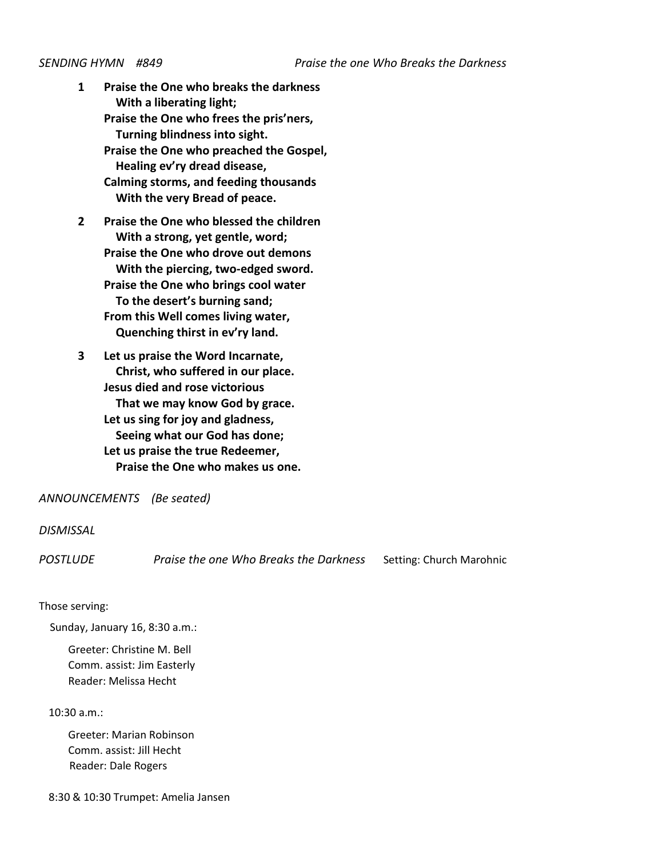- **1 Praise the One who breaks the darkness With a liberating light; Praise the One who frees the pris'ners, Turning blindness into sight. Praise the One who preached the Gospel, Healing ev'ry dread disease, Calming storms, and feeding thousands With the very Bread of peace.**
- **2 Praise the One who blessed the children With a strong, yet gentle, word; Praise the One who drove out demons With the piercing, two-edged sword. Praise the One who brings cool water To the desert's burning sand; From this Well comes living water, Quenching thirst in ev'ry land.**
- **3 Let us praise the Word Incarnate, Christ, who suffered in our place. Jesus died and rose victorious That we may know God by grace. Let us sing for joy and gladness, Seeing what our God has done; Let us praise the true Redeemer, Praise the One who makes us one.**

*ANNOUNCEMENTS (Be seated)*

## *DISMISSAL*

*POSTLUDE Praise the one Who Breaks the Darkness* Setting: Church Marohnic

Those serving:

Sunday, January 16, 8:30 a.m.:

Greeter: Christine M. Bell Comm. assist: Jim Easterly Reader: Melissa Hecht

10:30 a.m.:

Greeter: Marian Robinson Comm. assist: Jill Hecht Reader: Dale Rogers

8:30 & 10:30 Trumpet: Amelia Jansen